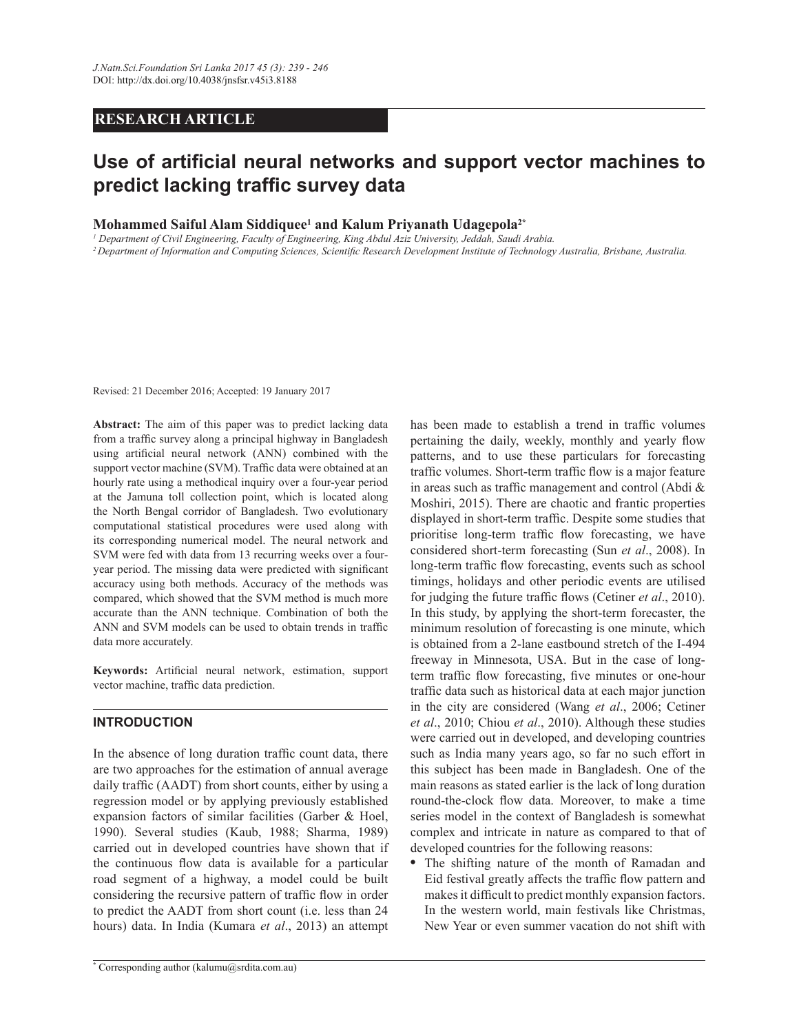# **RESEARCH ARTICLE**

# Use of artificial neural networks and support vector machines to predict lacking traffic survey data

## **Mohammed Saiful Alam Siddiquee<sup>1</sup> and Kalum Priyanath Udagepola2\***

*1 Department of Civil Engineering, Faculty of Engineering, King Abdul Aziz University, Jeddah, Saudi Arabia.*

<sup>2</sup> Department of Information and Computing Sciences, Scientific Research Development Institute of Technology Australia, Brisbane, Australia.

Revised: 21 December 2016; Accepted: 19 January 2017

Abstract: The aim of this paper was to predict lacking data from a traffic survey along a principal highway in Bangladesh using artificial neural network (ANN) combined with the support vector machine (SVM). Traffic data were obtained at an hourly rate using a methodical inquiry over a four-year period at the Jamuna toll collection point, which is located along the North Bengal corridor of Bangladesh. Two evolutionary computational statistical procedures were used along with its corresponding numerical model. The neural network and SVM were fed with data from 13 recurring weeks over a fouryear period. The missing data were predicted with significant accuracy using both methods. Accuracy of the methods was compared, which showed that the SVM method is much more accurate than the ANN technique. Combination of both the ANN and SVM models can be used to obtain trends in traffic data more accurately.

Keywords: Artificial neural network, estimation, support vector machine, traffic data prediction.

## **INTRODUCTION**

In the absence of long duration traffic count data, there are two approaches for the estimation of annual average daily traffic (AADT) from short counts, either by using a regression model or by applying previously established expansion factors of similar facilities (Garber & Hoel, 1990). Several studies (Kaub, 1988; Sharma, 1989). carried out in developed countries have shown that if the continuous flow data is available for a particular road segment of a highway, a model could be built considering the recursive pattern of traffic flow in order to predict the AADT from short count (i.e. less than 24 hours) data. In India (Kumara et al., 2013) an attempt

**\*** Corresponding author (kalumu@srdita.com.au)

has been made to establish a trend in traffic volumes pertaining the daily, weekly, monthly and yearly flow patterns, and to use these particulars for forecasting traffic volumes. Short-term traffic flow is a major feature in areas such as traffic management and control (Abdi  $\&$ Moshiri, 2015). There are chaotic and frantic properties displayed in short-term traffic. Despite some studies that prioritise long-term traffic flow forecasting, we have considered short-term forecasting (Sun *et al*., 2008). In long-term traffic flow forecasting, events such as school timings, holidays and other periodic events are utilised for judging the future traffic flows (Cetiner et al., 2010). In this study, by applying the short-term forecaster, the minimum resolution of forecasting is one minute, which is obtained from a 2-lane eastbound stretch of the I-494 freeway in Minnesota, USA. But in the case of longterm traffic flow forecasting, five minutes or one-hour traffic data such as historical data at each major junction in the city are considered (Wang *et al*., 2006; Cetiner *et al*., 2010; Chiou *et al*., 2010). Although these studies were carried out in developed, and developing countries such as India many years ago, so far no such effort in this subject has been made in Bangladesh. One of the main reasons as stated earlier is the lack of long duration round-the-clock flow data. Moreover, to make a time series model in the context of Bangladesh is somewhat complex and intricate in nature as compared to that of developed countries for the following reasons:

**•** The shifting nature of the month of Ramadan and Eid festival greatly affects the traffic flow pattern and makes it difficult to predict monthly expansion factors. In the western world, main festivals like Christmas, New Year or even summer vacation do not shift with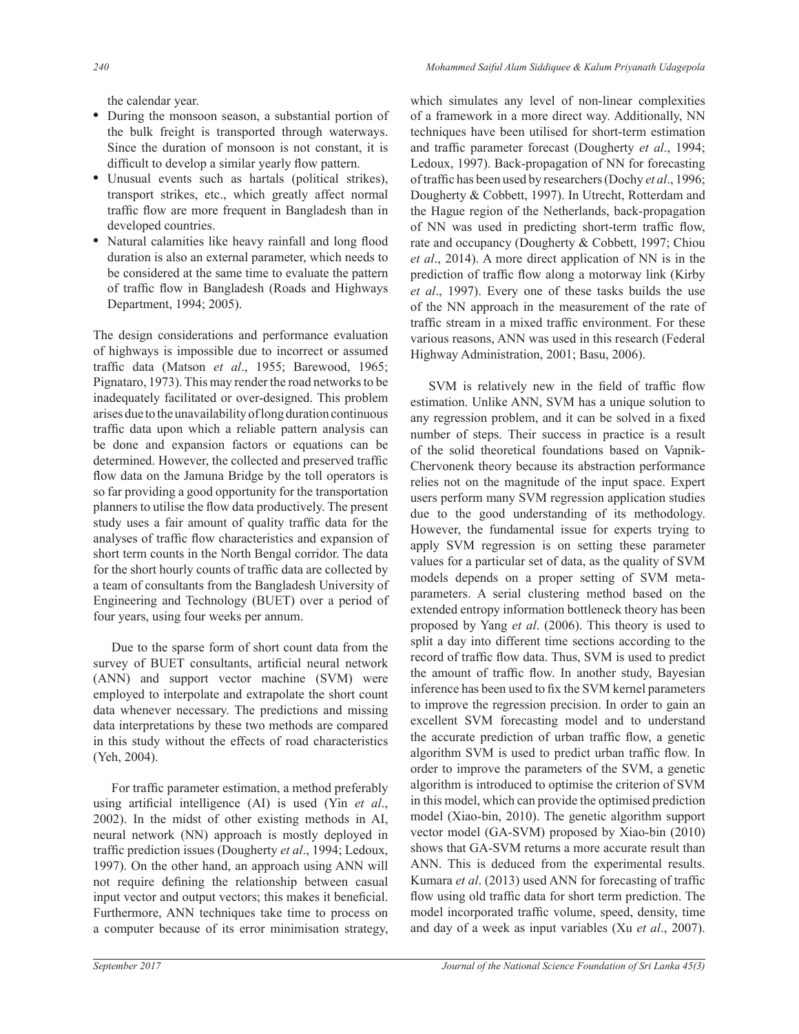the calendar year.

- During the monsoon season, a substantial portion of the bulk freight is transported through waterways. Since the duration of monsoon is not constant, it is difficult to develop a similar yearly flow pattern.
- Unusual events such as hartals (political strikes), transport strikes, etc., which greatly affect normal traffic flow are more frequent in Bangladesh than in developed countries.
- Natural calamities like heavy rainfall and long flood duration is also an external parameter, which needs to be considered at the same time to evaluate the pattern of traffic flow in Bangladesh (Roads and Highways Department, 1994; 2005).

The design considerations and performance evaluation of highways is impossible due to incorrect or assumed traffic data (Matson et al., 1955; Barewood, 1965; Pignataro, 1973). This may render the road networks to be inadequately facilitated or over-designed. This problem arises due to the unavailability of long duration continuous traffic data upon which a reliable pattern analysis can be done and expansion factors or equations can be determined. However, the collected and preserved traffic flow data on the Jamuna Bridge by the toll operators is so far providing a good opportunity for the transportation planners to utilise the flow data productively. The present study uses a fair amount of quality traffic data for the analyses of traffic flow characteristics and expansion of short term counts in the North Bengal corridor. The data for the short hourly counts of traffic data are collected by a team of consultants from the Bangladesh University of Engineering and Technology (BUET) over a period of four years, using four weeks per annum.

 Due to the sparse form of short count data from the survey of BUET consultants, artificial neural network (ANN) and support vector machine (SVM) were employed to interpolate and extrapolate the short count data whenever necessary. The predictions and missing data interpretations by these two methods are compared in this study without the effects of road characteristics (Yeh, 2004).

For traffic parameter estimation, a method preferably using artificial intelligence (AI) is used (Yin et al., 2002). In the midst of other existing methods in AI, neural network (NN) approach is mostly deployed in traffic prediction issues (Dougherty et al., 1994; Ledoux, 1997). On the other hand, an approach using ANN will not require defining the relationship between casual input vector and output vectors; this makes it beneficial. Furthermore, ANN techniques take time to process on a computer because of its error minimisation strategy, which simulates any level of non-linear complexities of a framework in a more direct way. Additionally, NN techniques have been utilised for short-term estimation and traffic parameter forecast (Dougherty *et al.*, 1994; Ledoux, 1997). Back-propagation of NN for forecasting of traffic has been used by researchers (Dochy et al., 1996; Dougherty & Cobbett, 1997). In Utrecht, Rotterdam and the Hague region of the Netherlands, back-propagation of NN was used in predicting short-term traffic flow. rate and occupancy (Dougherty & Cobbett, 1997; Chiou *et al*., 2014). A more direct application of NN is in the prediction of traffic flow along a motorway link (Kirby *et al*., 1997). Every one of these tasks builds the use of the NN approach in the measurement of the rate of traffic stream in a mixed traffic environment. For these various reasons, ANN was used in this research (Federal Highway Administration, 2001; Basu, 2006).

SVM is relatively new in the field of traffic flow estimation. Unlike ANN, SVM has a unique solution to any regression problem, and it can be solved in a fixed number of steps. Their success in practice is a result of the solid theoretical foundations based on Vapnik-Chervonenk theory because its abstraction performance relies not on the magnitude of the input space. Expert users perform many SVM regression application studies due to the good understanding of its methodology. However, the fundamental issue for experts trying to apply SVM regression is on setting these parameter values for a particular set of data, as the quality of SVM models depends on a proper setting of SVM metaparameters. A serial clustering method based on the extended entropy information bottleneck theory has been proposed by Yang *et al*. (2006). This theory is used to split a day into different time sections according to the record of traffic flow data. Thus, SVM is used to predict the amount of traffic flow. In another study, Bayesian inference has been used to fix the SVM kernel parameters to improve the regression precision. In order to gain an excellent SVM forecasting model and to understand the accurate prediction of urban traffic flow, a genetic algorithm SVM is used to predict urban traffic flow. In order to improve the parameters of the SVM, a genetic algorithm is introduced to optimise the criterion of SVM in this model, which can provide the optimised prediction model (Xiao-bin, 2010). The genetic algorithm support vector model (GA-SVM) proposed by Xiao-bin  $(2010)$ shows that GA-SVM returns a more accurate result than ANN. This is deduced from the experimental results. Kumara et al. (2013) used ANN for forecasting of traffic flow using old traffic data for short term prediction. The model incorporated traffic volume, speed, density, time and day of a week as input variables (Xu *et al.*, 2007).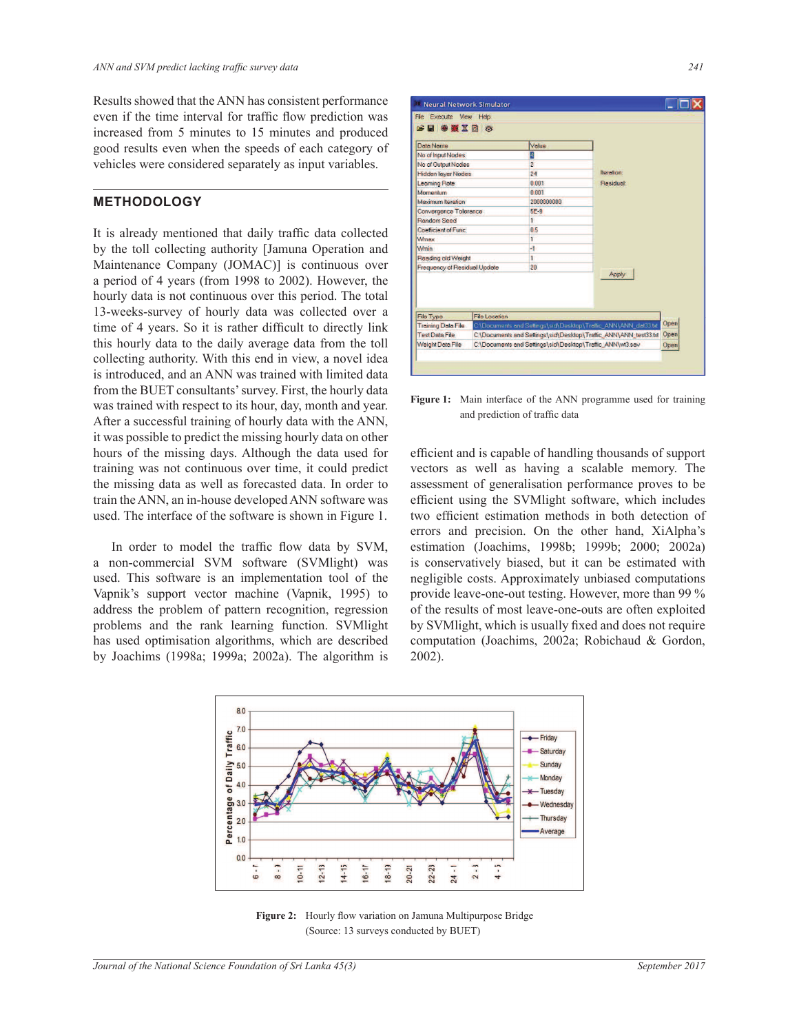Results showed that the ANN has consistent performance even if the time interval for traffic flow prediction was increased from 5 minutes to 15 minutes and produced good results even when the speeds of each category of vehicles were considered separately as input variables.

#### **METHODOLOGY**

It is already mentioned that daily traffic data collected by the toll collecting authority [Jamuna Operation and Maintenance Company (JOMAC)] is continuous over a period of 4 years (from 1998 to 2002). However, the hourly data is not continuous over this period. The total 13-weeks-survey of hourly data was collected over a time of 4 years. So it is rather difficult to directly link this hourly data to the daily average data from the toll collecting authority. With this end in view, a novel idea is introduced, and an ANN was trained with limited data from the BUET consultants' survey. First, the hourly data was trained with respect to its hour, day, month and year. After a successful training of hourly data with the ANN, it was possible to predict the missing hourly data on other hours of the missing days. Although the data used for training was not continuous over time, it could predict the missing data as well as forecasted data. In order to train the ANN, an in-house developed ANN software was used. The interface of the software is shown in Figure 1.

In order to model the traffic flow data by SVM, a non-commercial SVM software (SVMlight) was used. This software is an implementation tool of the Vapnik's support vector machine (Vapnik, 1995) to address the problem of pattern recognition, regression problems and the rank learning function. SVMlight has used optimisation algorithms, which are described by Joachims (1998a; 1999a; 2002a). The algorithm is

| File Execute View Help                                                                                   |                                                                 |                |                                                                       |  |  |
|----------------------------------------------------------------------------------------------------------|-----------------------------------------------------------------|----------------|-----------------------------------------------------------------------|--|--|
| <sub>●</sub> ■●夏区目で                                                                                      |                                                                 |                |                                                                       |  |  |
| Data Name                                                                                                |                                                                 | Value          |                                                                       |  |  |
| No of Input Nodes                                                                                        |                                                                 | n              |                                                                       |  |  |
| No of Output Nodes                                                                                       |                                                                 | $\overline{2}$ |                                                                       |  |  |
| <b>Hidden layer Nodes</b>                                                                                |                                                                 | 24             | <b>Iteration:</b>                                                     |  |  |
| Learning Rate                                                                                            |                                                                 | 0.001          | Residual:                                                             |  |  |
| Momentum                                                                                                 |                                                                 | 0.001          |                                                                       |  |  |
| Maximum Iteration                                                                                        |                                                                 | 2000000000     |                                                                       |  |  |
| Convergence Tolerance<br>Random Seed<br>Coefficient of Func<br>Wmax<br><b>Wmin</b><br>Reading old Weight |                                                                 | $5F-9$         |                                                                       |  |  |
|                                                                                                          |                                                                 | T.             |                                                                       |  |  |
|                                                                                                          |                                                                 | 0.5            |                                                                       |  |  |
|                                                                                                          |                                                                 | ĩ              |                                                                       |  |  |
|                                                                                                          |                                                                 | $-1$           |                                                                       |  |  |
|                                                                                                          |                                                                 | T.             |                                                                       |  |  |
| Frequency of Residual Update                                                                             |                                                                 | 20             | Apply                                                                 |  |  |
|                                                                                                          |                                                                 |                |                                                                       |  |  |
| File Type                                                                                                | <b>File Location</b>                                            |                |                                                                       |  |  |
| <b>Training Data File</b>                                                                                |                                                                 |                | Open<br>C\Documents and Settings\sid\Desktop\Traffic_ANN\ANN_dat33.td |  |  |
| <b>Test Data File</b>                                                                                    | C:\Documents and Settings\sid\Desktop\Traffic_ANN\ANN_test33.td |                |                                                                       |  |  |
| Weight Data File<br>C\Documents and Settings\sid\Desktop\Traffic_ANN\wt3.sav                             |                                                                 |                |                                                                       |  |  |

**Figure 1:** Main interface of the ANN programme used for training and prediction of traffic data

efficient and is capable of handling thousands of support vectors as well as having a scalable memory. The assessment of generalisation performance proves to be efficient using the SVM light software, which includes two efficient estimation methods in both detection of errors and precision. On the other hand, XiAlpha's estimation (Joachims, 1998b; 1999b; 2000; 2002a) is conservatively biased, but it can be estimated with negligible costs. Approximately unbiased computations provide leave-one-out testing. However, more than 99 % of the results of most leave-one-outs are often exploited by SVMlight, which is usually fixed and does not require computation (Joachims, 2002a; Robichaud & Gordon, 2002).



**Figure 2:** Hourly flow variation on Jamuna Multipurpose Bridge (Source: 13 surveys conducted by BUET)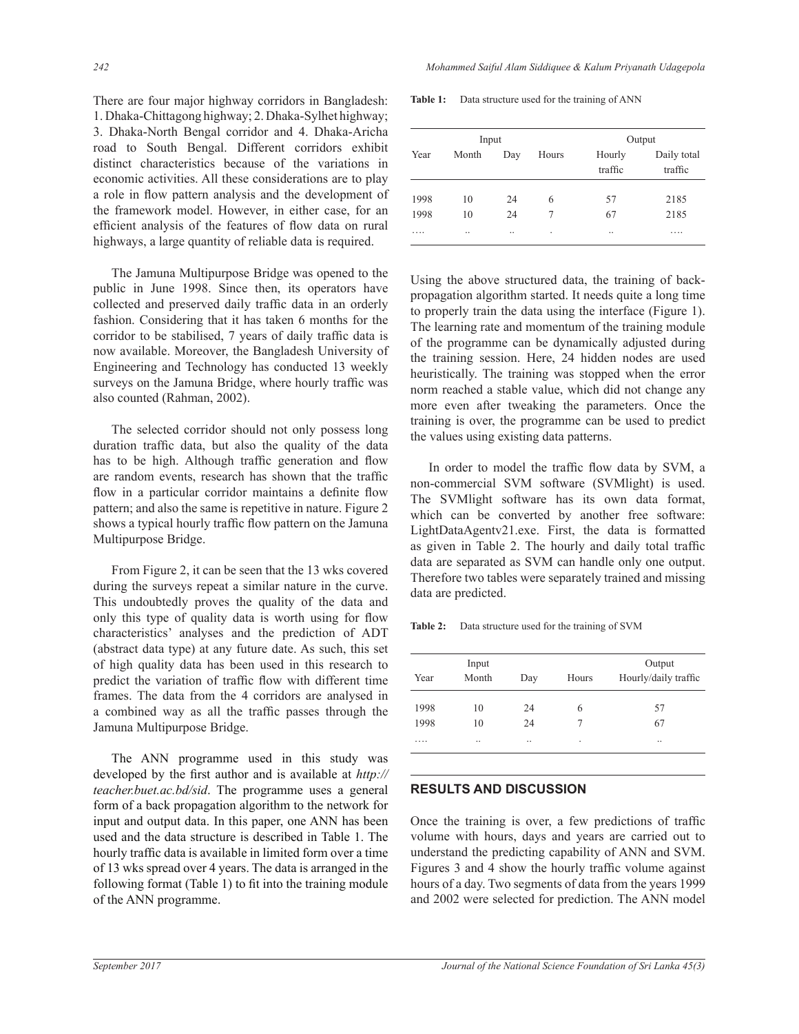There are four major highway corridors in Bangladesh: 1. Dhaka-Chittagong highway; 2. Dhaka-Sylhet highway; 3. Dhaka-North Bengal corridor and 4. Dhaka-Aricha road to South Bengal. Different corridors exhibit distinct characteristics because of the variations in economic activities. All these considerations are to play a role in flow pattern analysis and the development of the framework model. However, in either case, for an efficient analysis of the features of flow data on rural highways, a large quantity of reliable data is required.

The Jamuna Multipurpose Bridge was opened to the public in June 1998. Since then, its operators have collected and preserved daily traffic data in an orderly fashion. Considering that it has taken 6 months for the corridor to be stabilised, 7 years of daily traffic data is now available. Moreover, the Bangladesh University of Engineering and Technology has conducted 13 weekly surveys on the Jamuna Bridge, where hourly traffic was also counted (Rahman, 2002).

 The selected corridor should not only possess long duration traffic data, but also the quality of the data has to be high. Although traffic generation and flow are random events, research has shown that the traffic flow in a particular corridor maintains a definite flow pattern; and also the same is repetitive in nature. Figure 2 shows a typical hourly traffic flow pattern on the Jamuna Multipurpose Bridge.

From Figure 2, it can be seen that the 13 wks covered during the surveys repeat a similar nature in the curve. This undoubtedly proves the quality of the data and only this type of quality data is worth using for flow characteristics' analyses and the prediction of ADT (abstract data type) at any future date. As such, this set of high quality data has been used in this research to predict the variation of traffic flow with different time frames. The data from the 4 corridors are analysed in a combined way as all the traffic passes through the Jamuna Multipurpose Bridge.

The ANN programme used in this study was developed by the first author and is available at http:// teacher.buet.ac.bd/sid. The programme uses a general form of a back propagation algorithm to the network for input and output data. In this paper, one ANN has been used and the data structure is described in Table 1. The hourly traffic data is available in limited form over a time of 13 wks spread over 4 years. The data is arranged in the following format (Table 1) to fit into the training module of the ANN programme.

**Table 1:** Data structure used for the training of ANN

| Input |       |     |       | Output            |                        |  |
|-------|-------|-----|-------|-------------------|------------------------|--|
| Year  | Month | Day | Hours | Hourly<br>traffic | Daily total<br>traffic |  |
| 1998  | 10    | 24  | 6     | 57                | 2185                   |  |
| 1998  | 10    | 24  |       | 67                | 2185                   |  |
| .     |       |     | ٠     |                   | .                      |  |

 Using the above structured data, the training of backpropagation algorithm started. It needs quite a long time to properly train the data using the interface (Figure 1). The learning rate and momentum of the training module of the programme can be dynamically adjusted during the training session. Here, 24 hidden nodes are used heuristically. The training was stopped when the error norm reached a stable value, which did not change any more even after tweaking the parameters. Once the training is over, the programme can be used to predict the values using existing data patterns.

In order to model the traffic flow data by SVM, a non-commercial SVM software (SVMlight) is used. The SVM light software has its own data format, which can be converted by another free software: LightDataAgentv21.exe. First, the data is formatted as given in Table 2. The hourly and daily total traffic data are separated as SVM can handle only one output. Therefore two tables were separately trained and missing data are predicted.

**Table 2:** Data structure used for the training of SVM

|      | Input | Output |       |                      |
|------|-------|--------|-------|----------------------|
| Year | Month | Day    | Hours | Hourly/daily traffic |
| 1998 | 10    | 24     | 6     | 57                   |
| 1998 | 10    | 24     |       | 67                   |
| .    |       |        | ٠     |                      |

#### **RESULTS AND DISCUSSION**

Once the training is over, a few predictions of traffic volume with hours, days and years are carried out to understand the predicting capability of ANN and SVM. Figures 3 and 4 show the hourly traffic volume against hours of a day. Two segments of data from the years 1999 and 2002 were selected for prediction. The ANN model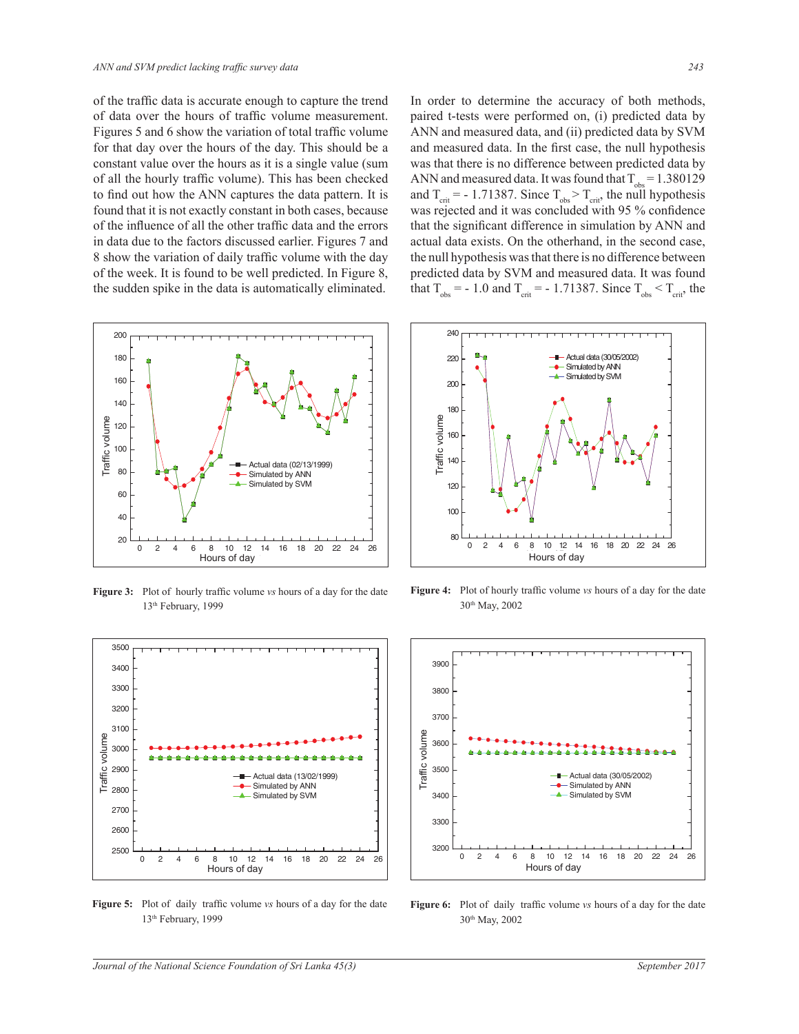of the traffic data is accurate enough to capture the trend of data over the hours of traffic volume measurement. Figures 5 and 6 show the variation of total traffic volume for that day over the hours of the day. This should be a constant value over the hours as it is a single value (sum of all the hourly traffic volume). This has been checked to find out how the ANN captures the data pattern. It is found that it is not exactly constant in both cases, because of the influence of all the other traffic data and the errors in data due to the factors discussed earlier. Figures 7 and 8 show the variation of daily traffic volume with the day of the week. It is found to be well predicted. In Figure 8, the sudden spike in the data is automatically eliminated.



**Figure 3:** Plot of hourly traffic volume vs hours of a day for the date 13th February, 1999



Figure 5: Plot of daily traffic volume vs hours of a day for the date 13th February, 1999

 In order to determine the accuracy of both methods, paired t-tests were performed on, (i) predicted data by ANN and measured data, and (ii) predicted data by SVM and measured data. In the first case, the null hypothesis was that there is no difference between predicted data by ANN and measured data. It was found that  $T_{obs} = 1.380129$ and  $T_{\text{crit}}$  = - 1.71387. Since  $T_{\text{obs}}$  >  $T_{\text{crit}}$ , the null hypothesis was rejected and it was concluded with 95 % confidence that the significant difference in simulation by ANN and actual data exists. On the otherhand, in the second case, the null hypothesis was that there is no difference between predicted data by SVM and measured data. It was found that  $T_{obs} = -1.0$  and  $T_{crit} = -1.71387$ . Since  $T_{obs} < T_{crit}$ , the



Figure 4: Plot of hourly traffic volume vs hours of a day for the date 30th May, 2002



Figure 6: Plot of daily traffic volume vs hours of a day for the date 30th May, 2002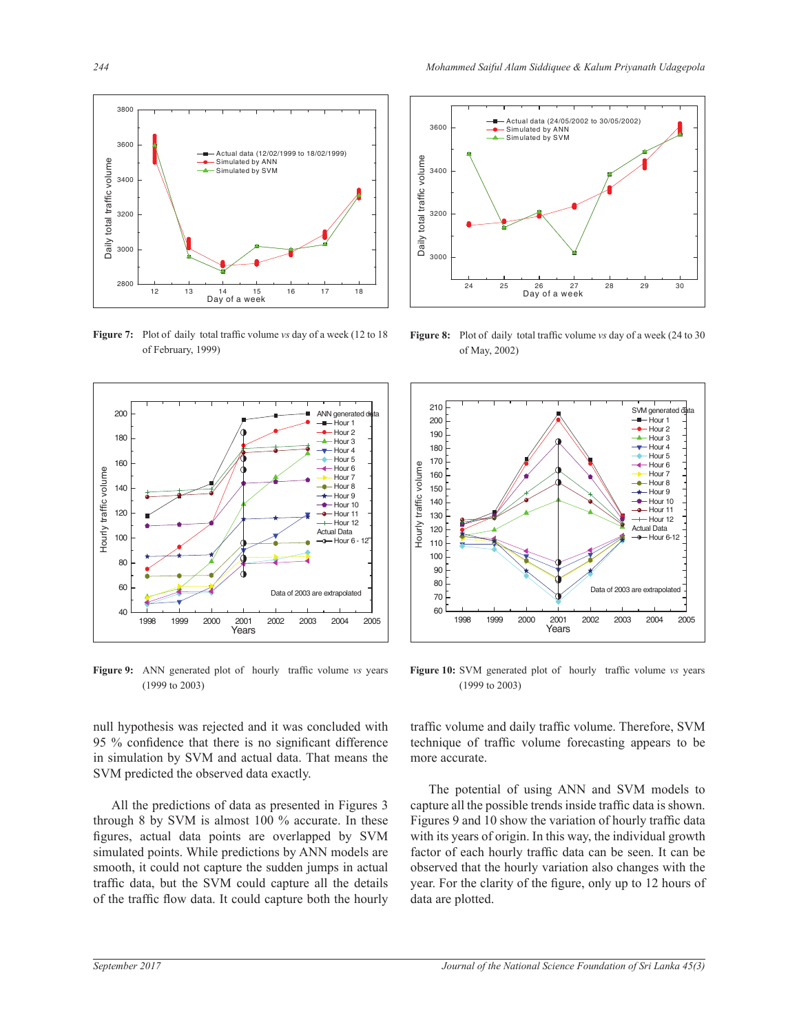

**Figure 7:** Plot of daily total traffic volume vs day of a week (12 to 18) of February, 1999)



Figure 9: ANN generated plot of hourly traffic volume vs years (1999 to 2003)

null hypothesis was rejected and it was concluded with 95 % confidence that there is no significant difference in simulation by SVM and actual data. That means the SVM predicted the observed data exactly.

 All the predictions of data as presented in Figures 3 through 8 by SVM is almost 100 % accurate. In these figures, actual data points are overlapped by SVM simulated points. While predictions by ANN models are smooth, it could not capture the sudden jumps in actual traffic data, but the SVM could capture all the details of the traffic flow data. It could capture both the hourly



**Figure 8:** Plot of daily total traffic volume vs day of a week (24 to 30) of May, 2002)



Figure 10: SVM generated plot of hourly traffic volume vs years (1999 to 2003)

traffic volume and daily traffic volume. Therefore, SVM technique of traffic volume forecasting appears to be more accurate.

 The potential of using ANN and SVM models to capture all the possible trends inside traffic data is shown. Figures 9 and 10 show the variation of hourly traffic data with its years of origin. In this way, the individual growth factor of each hourly traffic data can be seen. It can be observed that the hourly variation also changes with the year. For the clarity of the figure, only up to 12 hours of data are plotted.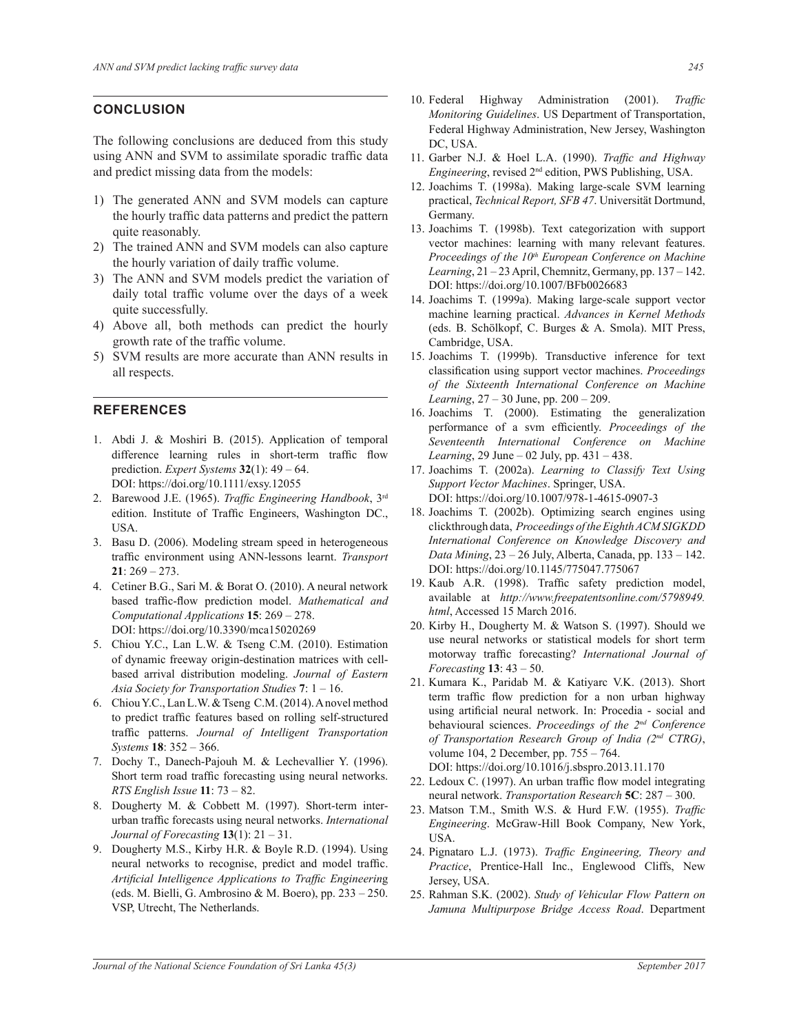### **CONCLUSION**

The following conclusions are deduced from this study using ANN and SVM to assimilate sporadic traffic data and predict missing data from the models:

- 1) The generated ANN and SVM models can capture the hourly traffic data patterns and predict the pattern quite reasonably.
- 2) The trained ANN and SVM models can also capture the hourly variation of daily traffic volume.
- 3) The ANN and SVM models predict the variation of daily total traffic volume over the days of a week quite successfully.
- 4) Above all, both methods can predict the hourly growth rate of the traffic volume.
- 5) SVM results are more accurate than ANN results in all respects.

#### **REFERENCES**

- 1. Abdi J. & Moshiri B. (2015). Application of temporal difference learning rules in short-term traffic flow prediction. *Expert Systems* **32**(1): 49 – 64. DOI: https://doi.org/10.1111/exsy.12055
- 2. Barewood J.E. (1965). *Traffic Engineering Handbook*, 3rd edition. Institute of Traffic Engineers, Washington DC., USA.
- 3. Basu D. (2006). Modeling stream speed in heterogeneous traffic environment using ANN-lessons learnt. *Transport* **21**: 269 – 273.
- 4. Cetiner B.G., Sari M. & Borat O. (2010). A neural network based traffic-flow prediction model. Mathematical and *Computational Applications* **15**: 269 – 278. DOI: https://doi.org/10.3390/mca15020269
- 5. Chiou Y.C., Lan L.W. & Tseng C.M. (2010). Estimation of dynamic freeway origin-destination matrices with cellbased arrival distribution modeling. *Journal of Eastern Asia Society for Transportation Studies* **7**: 1 – 16.
- 6. Chiou Y.C., Lan L.W. & Tseng C.M. (2014). A novel method to predict traffic features based on rolling self-structured traffic patterns. Journal of Intelligent Transportation *Systems* **18**: 352 – 366.
- 7. Dochy T., Danech-Pajouh M. & Lechevallier Y. (1996). Short term road traffic forecasting using neural networks. *RTS English Issue* **11**: 73 – 82.
- 8. Dougherty M. & Cobbett M. (1997). Short-term interurban traffic forecasts using neural networks. *International Journal of Forecasting* **13**(1): 21 – 31.
- 9. Dougherty M.S., Kirby H.R. & Boyle R.D. (1994). Using neural networks to recognise, predict and model traffic. *Artificial Intelligence Applications to Traffic Engineering* (eds. M. Bielli, G. Ambrosino & M. Boero), pp.  $233 - 250$ . VSP, Utrecht, The Netherlands.
- 10. Federal Highway Administration (2001). Traffic *Monitoring Guidelines*. US Department of Transportation, Federal Highway Administration, New Jersey, Washington DC, USA.
- 11. Garber N.J. & Hoel L.A. (1990). *Traffic and Highway Engineering*, revised 2nd edition, PWS Publishing, USA.
- 12. Joachims T. (1998a). Making large-scale SVM learning practical, *Technical Report, SFB 47*. Universität Dortmund, Germany.
- 13. Joachims T. (1998b). Text categorization with support vector machines: learning with many relevant features. *Proceedings of the 10th European Conference on Machine Learning*, 21 – 23 April, Chemnitz, Germany, pp. 137 – 142. DOI: https://doi.org/10.1007/BFb0026683
- 14. Joachims T. (1999a). Making large-scale support vector machine learning practical. *Advances in Kernel Methods* (eds. B. Schölkopf, C. Burges & A. Smola). MIT Press, Cambridge, USA.
- 15. Joachims T. (1999b). Transductive inference for text classification using support vector machines. Proceedings *of the Sixteenth International Conference on Machine Learning*, 27 – 30 June, pp. 200 – 209.
- 16. Joachims T. (2000). Estimating the generalization performance of a sym efficiently. Proceedings of the *Seventeenth International Conference on Machine Learning*, 29 June – 02 July, pp. 431 – 438.
- 17. Joachims T. (2002a). *Learning to Classify Text Using Support Vector Machines*. Springer, USA. DOI: https://doi.org/10.1007/978-1-4615-0907-3
- 18. Joachims T. (2002b). Optimizing search engines using clickthrough data, *Proceedings of the Eighth ACM SIGKDD International Conference on Knowledge Discovery and Data Mining*, 23 – 26 July, Alberta, Canada, pp. 133 – 142. DOI: https://doi.org/10.1145/775047.775067
- 19. Kaub A.R. (1998). Traffic safety prediction model, available at *http://www.freepatentsonline.com/5798949. html*, Accessed 15 March 2016.
- 20. Kirby H., Dougherty M. & Watson S. (1997). Should we use neural networks or statistical models for short term motorway traffic forecasting? *International Journal of Forecasting* **13**: 43 – 50.
- 21. Kumara K., Paridab M. & Katiyarc V.K. (2013). Short term traffic flow prediction for a non urban highway using artificial neural network. In: Procedia - social and behavioural sciences. *Proceedings of the 2nd Conference of Transportation Research Group of India (2nd CTRG)*, volume 104, 2 December, pp. 755 – 764. DOI: https://doi.org/10.1016/j.sbspro.2013.11.170
- 22. Ledoux C. (1997). An urban traffic flow model integrating neural network. Transportation Research **5C**: 287 – 300.
- 23. Matson T.M., Smith W.S. & Hurd F.W. (1955). *Traffic Engineering*. McGraw-Hill Book Company, New York, USA.
- 24. Pignataro L.J. (1973). *Traffic Engineering, Theory and Practice*, Prentice-Hall Inc., Englewood Cliffs, New Jersey, USA.
- 25. Rahman S.K. (2002). Study of Vehicular Flow Pattern on *Jamuna Multipurpose Bridge Access Road*. Department